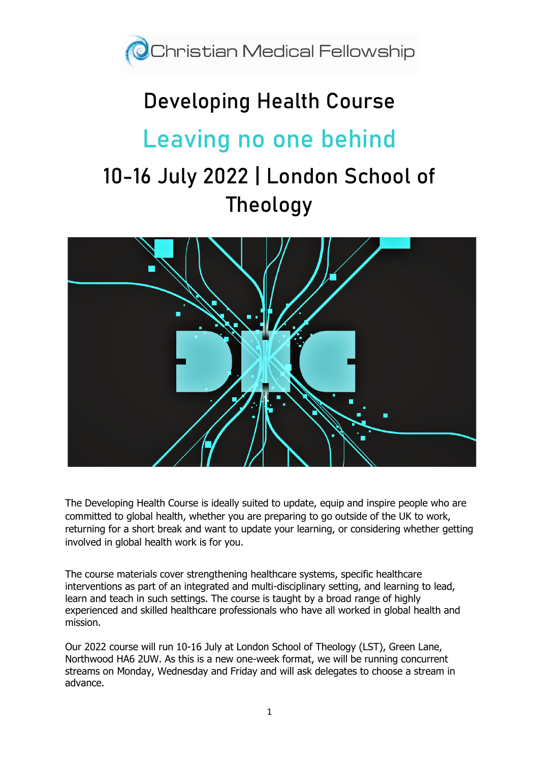

# **Developing Health Course**

# **Leaving no one behind**

# 10-16 July 2022 | London School of Theology



The Developing Health Course is ideally suited to update, equip and inspire people who are committed to global health, whether you are preparing to go outside of the UK to work, returning for a short break and want to update your learning, or considering whether getting involved in global health work is for you.

The course materials cover strengthening healthcare systems, specific healthcare interventions as part of an integrated and multi-disciplinary setting, and learning to lead, learn and teach in such settings. The course is taught by a broad range of highly experienced and skilled healthcare professionals who have all worked in global health and mission.

Our 2022 course will run 10-16 July at London School of Theology (LST), Green Lane, Northwood HA6 2UW. As this is a new one-week format, we will be running concurrent streams on Monday, Wednesday and Friday and will ask delegates to choose a stream in advance.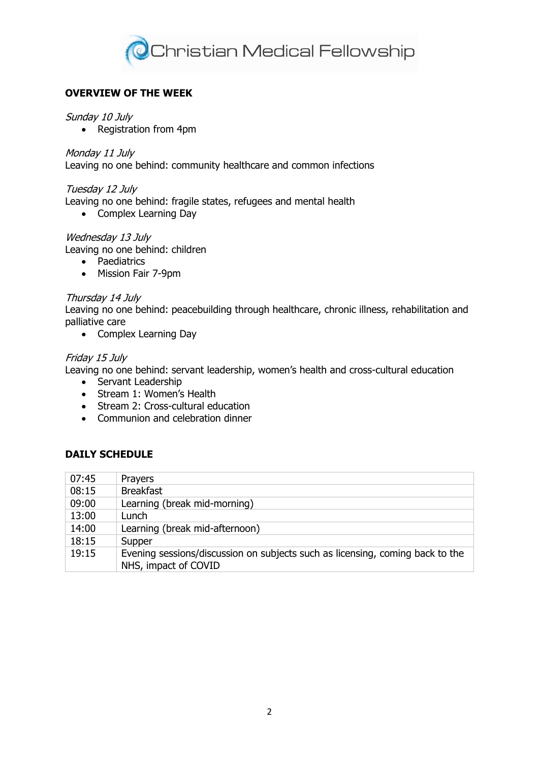

## **OVERVIEW OF THE WEEK**

#### Sunday 10 July

• Registration from 4pm

#### Monday 11 July

Leaving no one behind: community healthcare and common infections

#### Tuesday 12 July

Leaving no one behind: fragile states, refugees and mental health

• Complex Learning Day

#### Wednesday 13 July

Leaving no one behind: children

- Paediatrics
- Mission Fair 7-9pm

#### Thursday 14 July

Leaving no one behind: peacebuilding through healthcare, chronic illness, rehabilitation and palliative care

• Complex Learning Day

#### Friday 15 July

Leaving no one behind: servant leadership, women's health and cross-cultural education

- Servant Leadership
- Stream 1: Women's Health
- Stream 2: Cross-cultural education
- Communion and celebration dinner

### **DAILY SCHEDULE**

| 07:45 | Prayers                                                                                               |
|-------|-------------------------------------------------------------------------------------------------------|
| 08:15 | <b>Breakfast</b>                                                                                      |
| 09:00 | Learning (break mid-morning)                                                                          |
| 13:00 | Lunch                                                                                                 |
| 14:00 | Learning (break mid-afternoon)                                                                        |
| 18:15 | Supper                                                                                                |
| 19:15 | Evening sessions/discussion on subjects such as licensing, coming back to the<br>NHS, impact of COVID |